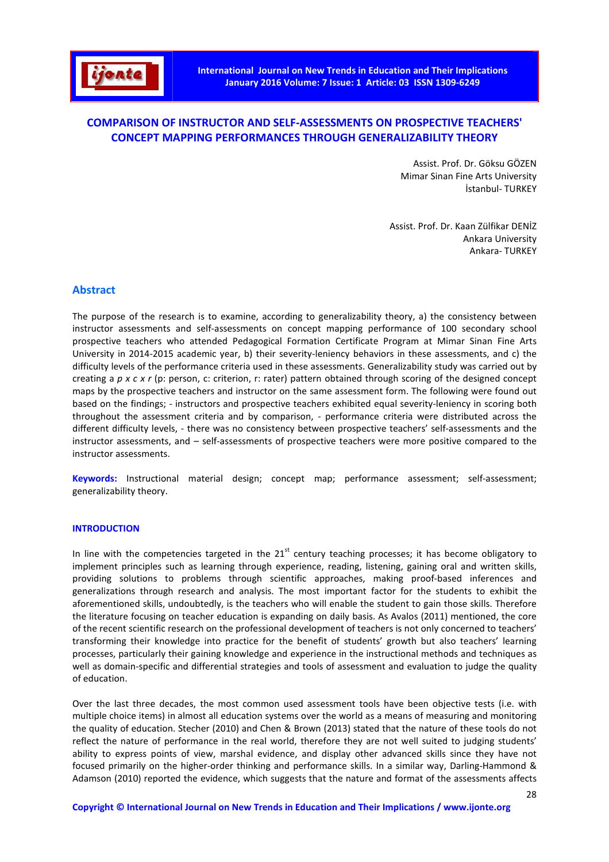

# **COMPARISON OF INSTRUCTOR AND SELF-ASSESSMENTS ON PROSPECTIVE TEACHERS' CONCEPT MAPPING PERFORMANCES THROUGH GENERALIZABILITY THEORY**

Assist. Prof. Dr. Göksu GÖZEN Mimar Sinan Fine Arts University İstanbul- TURKEY

Assist. Prof. Dr. Kaan Zülfikar DENİZ Ankara University Ankara- TURKEY

# **Abstract**

The purpose of the research is to examine, according to generalizability theory, a) the consistency between instructor assessments and self-assessments on concept mapping performance of 100 secondary school prospective teachers who attended Pedagogical Formation Certificate Program at Mimar Sinan Fine Arts University in 2014-2015 academic year, b) their severity-leniency behaviors in these assessments, and c) the difficulty levels of the performance criteria used in these assessments. Generalizability study was carried out by creating a *p x c x r* (p: person, c: criterion, r: rater) pattern obtained through scoring of the designed concept maps by the prospective teachers and instructor on the same assessment form. The following were found out based on the findings; - instructors and prospective teachers exhibited equal severity-leniency in scoring both throughout the assessment criteria and by comparison, - performance criteria were distributed across the different difficulty levels, - there was no consistency between prospective teachers' self-assessments and the instructor assessments, and – self-assessments of prospective teachers were more positive compared to the instructor assessments.

**Keywords:** Instructional material design; concept map; performance assessment; self-assessment; generalizability theory.

### **INTRODUCTION**

In line with the competencies targeted in the  $21<sup>st</sup>$  century teaching processes; it has become obligatory to implement principles such as learning through experience, reading, listening, gaining oral and written skills, providing solutions to problems through scientific approaches, making proof-based inferences and generalizations through research and analysis. The most important factor for the students to exhibit the aforementioned skills, undoubtedly, is the teachers who will enable the student to gain those skills. Therefore the literature focusing on teacher education is expanding on daily basis. As Avalos (2011) mentioned, the core of the recent scientific research on the professional development of teachers is not only concerned to teachers' transforming their knowledge into practice for the benefit of students' growth but also teachers' learning processes, particularly their gaining knowledge and experience in the instructional methods and techniques as well as domain-specific and differential strategies and tools of assessment and evaluation to judge the quality of education.

Over the last three decades, the most common used assessment tools have been objective tests (i.e. with multiple choice items) in almost all education systems over the world as a means of measuring and monitoring the quality of education. Stecher (2010) and Chen & Brown (2013) stated that the nature of these tools do not reflect the nature of performance in the real world, therefore they are not well suited to judging students' ability to express points of view, marshal evidence, and display other advanced skills since they have not focused primarily on the higher-order thinking and performance skills. In a similar way, Darling-Hammond & Adamson (2010) reported the evidence, which suggests that the nature and format of the assessments affects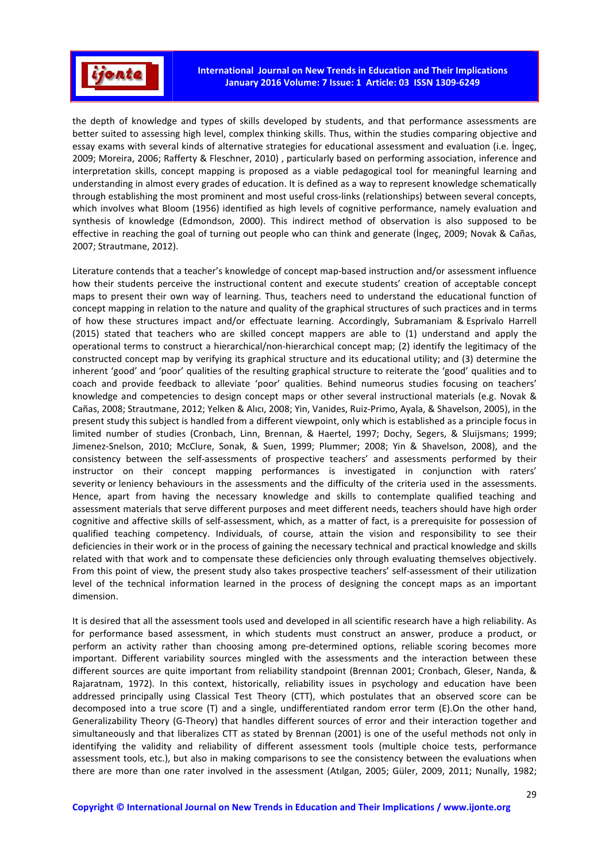

the depth of knowledge and types of skills developed by students, and that performance assessments are better suited to assessing high level, complex thinking skills. Thus, within the studies comparing objective and essay exams with several kinds of alternative strategies for educational assessment and evaluation (i.e. İngeç, 2009; Moreira, 2006; Rafferty & Fleschner, 2010) , particularly based on performing association, inference and interpretation skills, concept mapping is proposed as a viable pedagogical tool for meaningful learning and understanding in almost every grades of education. It is defined as a way to represent knowledge schematically through establishing the most prominent and most useful cross-links (relationships) between several concepts, which involves what Bloom (1956) identified as high levels of cognitive performance, namely evaluation and synthesis of knowledge (Edmondson, 2000). This indirect method of observation is also supposed to be effective in reaching the goal of turning out people who can think and generate (İngeç, 2009; Novak & Cañas, 2007; Strautmane, 2012).

Literature contends that a teacher's knowledge of concept map-based instruction and/or assessment influence how their students perceive the instructional content and execute students' creation of acceptable concept maps to present their own way of learning. Thus, teachers need to understand the educational function of concept mapping in relation to the nature and quality of the graphical structures of such practices and in terms of how these structures impact and/or effectuate learning. Accordingly, Subramaniam & Esprívalo Harrell (2015) stated that teachers who are skilled concept mappers are able to (1) understand and apply the operational terms to construct a hierarchical/non-hierarchical concept map; (2) identify the legitimacy of the constructed concept map by verifying its graphical structure and its educational utility; and (3) determine the inherent 'good' and 'poor' qualities of the resulting graphical structure to reiterate the 'good' qualities and to coach and provide feedback to alleviate 'poor' qualities. Behind numeorus studies focusing on teachers' knowledge and competencies to design concept maps or other several instructional materials (e.g. Novak & Cañas, 2008; Strautmane, 2012; Yelken & Alıcı, 2008; Yin, Vanides, Ruiz-Primo, Ayala, & Shavelson, 2005), in the present study this subject is handled from a different viewpoint, only which is established as a principle focus in limited number of studies (Cronbach, Linn, Brennan, & Haertel, 1997; Dochy, Segers, & Sluijsmans; 1999; Jimenez-Snelson, 2010; McClure, Sonak, & Suen, 1999; Plummer; 2008; Yin & Shavelson, 2008), and the consistency between the self-assessments of prospective teachers' and assessments performed by their instructor on their concept mapping performances is investigated in conjunction with raters' severity or leniency behaviours in the assessments and the difficulty of the criteria used in the assessments. Hence, apart from having the necessary knowledge and skills to contemplate qualified teaching and assessment materials that serve different purposes and meet different needs, teachers should have high order cognitive and affective skills of self-assessment, which, as a matter of fact, is a prerequisite for possession of qualified teaching competency. Individuals, of course, attain the vision and responsibility to see their deficiencies in their work or in the process of gaining the necessary technical and practical knowledge and skills related with that work and to compensate these deficiencies only through evaluating themselves objectively. From this point of view, the present study also takes prospective teachers' self-assessment of their utilization level of the technical information learned in the process of designing the concept maps as an important dimension.

It is desired that all the assessment tools used and developed in all scientific research have a high reliability. As for performance based assessment, in which students must construct an answer, produce a product, or perform an activity rather than choosing among pre-determined options, reliable scoring becomes more important. Different variability sources mingled with the assessments and the interaction between these different sources are quite important from reliability standpoint (Brennan 2001; Cronbach, Gleser, Nanda, & Rajaratnam, 1972). In this context, historically, reliability issues in psychology and education have been addressed principally using Classical Test Theory (CTT), which postulates that an observed score can be decomposed into a true score (T) and a single, undifferentiated random error term (E).On the other hand, Generalizability Theory (G-Theory) that handles different sources of error and their interaction together and simultaneously and that liberalizes CTT as stated by Brennan (2001) is one of the useful methods not only in identifying the validity and reliability of different assessment tools (multiple choice tests, performance assessment tools, etc.), but also in making comparisons to see the consistency between the evaluations when there are more than one rater involved in the assessment (Atılgan, 2005; Güler, 2009, 2011; Nunally, 1982;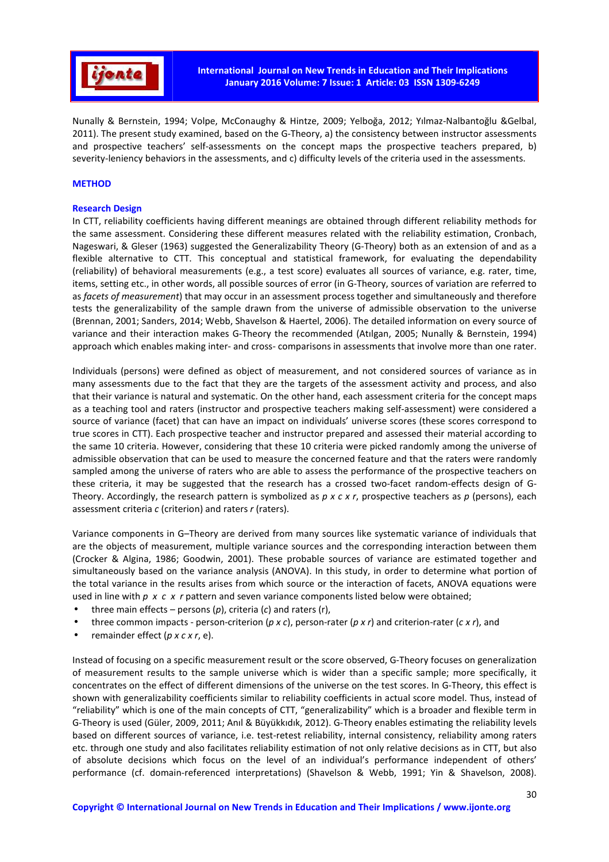

Nunally & Bernstein, 1994; Volpe, McConaughy & Hintze, 2009; Yelboğa, 2012; Yılmaz-Nalbantoğlu &Gelbal, 2011). The present study examined, based on the G-Theory, a) the consistency between instructor assessments and prospective teachers' self-assessments on the concept maps the prospective teachers prepared, b) severity-leniency behaviors in the assessments, and c) difficulty levels of the criteria used in the assessments.

### **METHOD**

### **Research Design**

In CTT, reliability coefficients having different meanings are obtained through different reliability methods for the same assessment. Considering these different measures related with the reliability estimation, Cronbach, Nageswari, & Gleser (1963) suggested the Generalizability Theory (G-Theory) both as an extension of and as a flexible alternative to CTT. This conceptual and statistical framework, for evaluating the dependability (reliability) of behavioral measurements (e.g., a test score) evaluates all sources of variance, e.g. rater, time, items, setting etc., in other words, all possible sources of error (in G-Theory, sources of variation are referred to as *facets of measurement*) that may occur in an assessment process together and simultaneously and therefore tests the generalizability of the sample drawn from the universe of admissible observation to the universe (Brennan, 2001; Sanders, 2014; Webb, Shavelson & Haertel, 2006). The detailed information on every source of variance and their interaction makes G-Theory the recommended (Atılgan, 2005; Nunally & Bernstein, 1994) approach which enables making inter- and cross- comparisons in assessments that involve more than one rater.

Individuals (persons) were defined as object of measurement, and not considered sources of variance as in many assessments due to the fact that they are the targets of the assessment activity and process, and also that their variance is natural and systematic. On the other hand, each assessment criteria for the concept maps as a teaching tool and raters (instructor and prospective teachers making self-assessment) were considered a source of variance (facet) that can have an impact on individuals' universe scores (these scores correspond to true scores in CTT). Each prospective teacher and instructor prepared and assessed their material according to the same 10 criteria. However, considering that these 10 criteria were picked randomly among the universe of admissible observation that can be used to measure the concerned feature and that the raters were randomly sampled among the universe of raters who are able to assess the performance of the prospective teachers on these criteria, it may be suggested that the research has a crossed two-facet random-effects design of G-Theory. Accordingly, the research pattern is symbolized as *p x c x r*, prospective teachers as *p* (persons), each assessment criteria *c* (criterion) and raters *r* (raters).

Variance components in G–Theory are derived from many sources like systematic variance of individuals that are the objects of measurement, multiple variance sources and the corresponding interaction between them (Crocker & Algina, 1986; Goodwin, 2001). These probable sources of variance are estimated together and simultaneously based on the variance analysis (ANOVA). In this study, in order to determine what portion of the total variance in the results arises from which source or the interaction of facets, ANOVA equations were used in line with *p x c x r* pattern and seven variance components listed below were obtained;

- three main effects persons (*p*), criteria (*c*) and raters (r),
- three common impacts person-criterion (*p x c*), person-rater (*p x r*) and criterion-rater (*c x r*), and
- remainder effect (*p x c x r*, e).

Instead of focusing on a specific measurement result or the score observed, G-Theory focuses on generalization of measurement results to the sample universe which is wider than a specific sample; more specifically, it concentrates on the effect of different dimensions of the universe on the test scores. In G-Theory, this effect is shown with generalizability coefficients similar to reliability coefficients in actual score model. Thus, instead of "reliability" which is one of the main concepts of CTT, "generalizability" which is a broader and flexible term in G-Theory is used (Güler, 2009, 2011; Anıl & Büyükkıdık, 2012). G-Theory enables estimating the reliability levels based on different sources of variance, i.e. test-retest reliability, internal consistency, reliability among raters etc. through one study and also facilitates reliability estimation of not only relative decisions as in CTT, but also of absolute decisions which focus on the level of an individual's performance independent of others' performance (cf. domain-referenced interpretations) (Shavelson & Webb, 1991; Yin & Shavelson, 2008).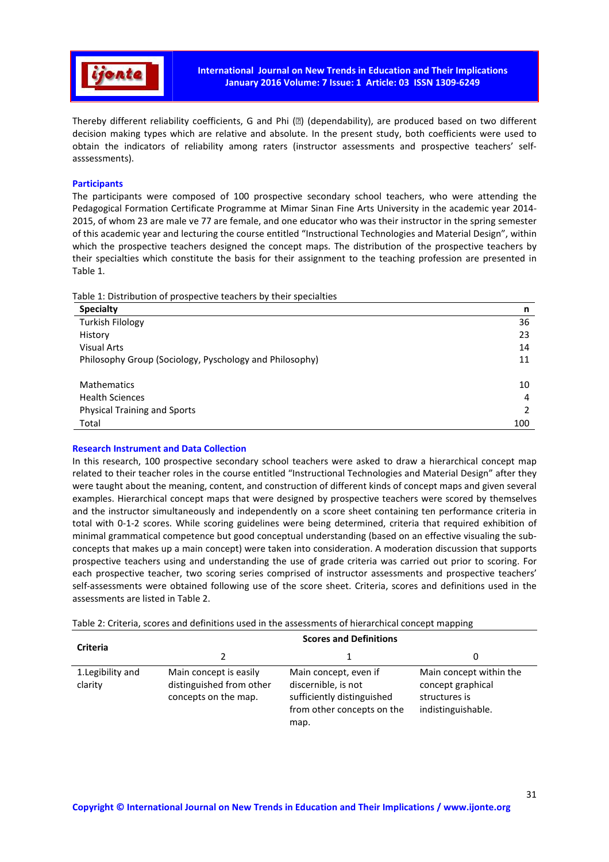

Thereby different reliability coefficients, G and Phi (ɸ) (dependability), are produced based on two different decision making types which are relative and absolute. In the present study, both coefficients were used to obtain the indicators of reliability among raters (instructor assessments and prospective teachers' selfasssessments).

## **Participants**

The participants were composed of 100 prospective secondary school teachers, who were attending the Pedagogical Formation Certificate Programme at Mimar Sinan Fine Arts University in the academic year 2014- 2015, of whom 23 are male ve 77 are female, and one educator who was their instructor in the spring semester of this academic year and lecturing the course entitled "Instructional Technologies and Material Design", within which the prospective teachers designed the concept maps. The distribution of the prospective teachers by their specialties which constitute the basis for their assignment to the teaching profession are presented in Table 1.

Table 1: Distribution of prospective teachers by their specialties

| . .<br><b>Specialty</b>                                 | n   |
|---------------------------------------------------------|-----|
| <b>Turkish Filology</b>                                 | 36  |
| History                                                 | 23  |
| <b>Visual Arts</b>                                      | 14  |
| Philosophy Group (Sociology, Pyschology and Philosophy) | 11  |
|                                                         |     |
| <b>Mathematics</b>                                      | 10  |
| <b>Health Sciences</b>                                  | 4   |
| <b>Physical Training and Sports</b>                     |     |
| Total                                                   | 100 |

### **Research Instrument and Data Collection**

In this research, 100 prospective secondary school teachers were asked to draw a hierarchical concept map related to their teacher roles in the course entitled "Instructional Technologies and Material Design" after they were taught about the meaning, content, and construction of different kinds of concept maps and given several examples. Hierarchical concept maps that were designed by prospective teachers were scored by themselves and the instructor simultaneously and independently on a score sheet containing ten performance criteria in total with 0-1-2 scores. While scoring guidelines were being determined, criteria that required exhibition of minimal grammatical competence but good conceptual understanding (based on an effective visualing the subconcepts that makes up a main concept) were taken into consideration. A moderation discussion that supports prospective teachers using and understanding the use of grade criteria was carried out prior to scoring. For each prospective teacher, two scoring series comprised of instructor assessments and prospective teachers' self-assessments were obtained following use of the score sheet. Criteria, scores and definitions used in the assessments are listed in Table 2.

Table 2: Criteria, scores and definitions used in the assessments of hierarchical concept mapping

| <b>Criteria</b>              | <b>Scores and Definitions</b>                                              |                                                                                                                  |                                                                                     |  |  |  |  |  |
|------------------------------|----------------------------------------------------------------------------|------------------------------------------------------------------------------------------------------------------|-------------------------------------------------------------------------------------|--|--|--|--|--|
|                              | 2                                                                          |                                                                                                                  |                                                                                     |  |  |  |  |  |
| 1. Legibility and<br>clarity | Main concept is easily<br>distinguished from other<br>concepts on the map. | Main concept, even if<br>discernible, is not<br>sufficiently distinguished<br>from other concepts on the<br>map. | Main concept within the<br>concept graphical<br>structures is<br>indistinguishable. |  |  |  |  |  |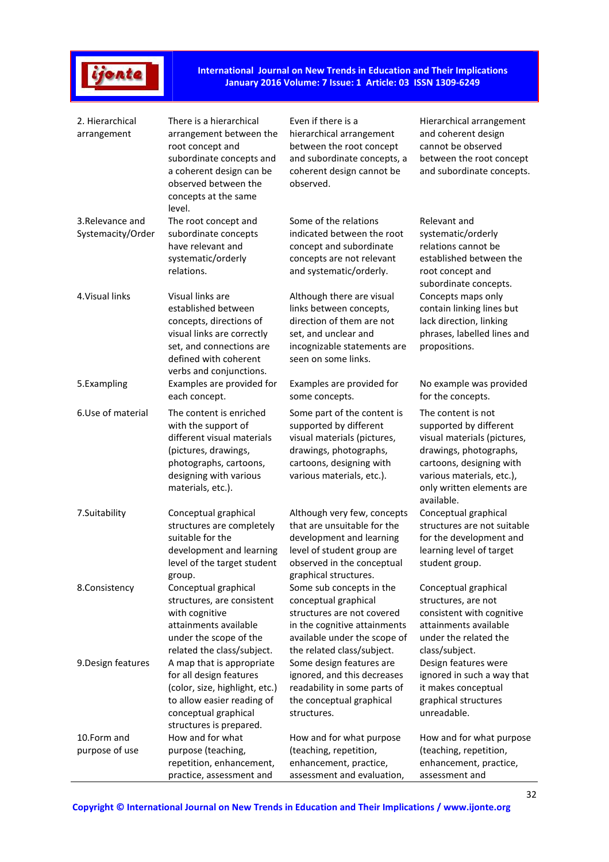# ijonte

**International Journal on New Trends in Education and Their Implications January 2016 Volume: 7 Issue: 1 Article: 03 ISSN 1309-6249** 

| 2. Hierarchical<br>arrangement        | There is a hierarchical<br>arrangement between the<br>root concept and<br>subordinate concepts and<br>a coherent design can be<br>observed between the<br>concepts at the same<br>level. | Even if there is a<br>hierarchical arrangement<br>between the root concept<br>and subordinate concepts, a<br>coherent design cannot be<br>observed.                          | Hierarchical arrangement<br>and coherent design<br>cannot be observed<br>between the root concept<br>and subordinate concepts.                                                                            |
|---------------------------------------|------------------------------------------------------------------------------------------------------------------------------------------------------------------------------------------|------------------------------------------------------------------------------------------------------------------------------------------------------------------------------|-----------------------------------------------------------------------------------------------------------------------------------------------------------------------------------------------------------|
| 3. Relevance and<br>Systemacity/Order | The root concept and<br>subordinate concepts<br>have relevant and<br>systematic/orderly<br>relations.                                                                                    | Some of the relations<br>indicated between the root<br>concept and subordinate<br>concepts are not relevant<br>and systematic/orderly.                                       | Relevant and<br>systematic/orderly<br>relations cannot be<br>established between the<br>root concept and<br>subordinate concepts.                                                                         |
| 4. Visual links                       | Visual links are<br>established between<br>concepts, directions of<br>visual links are correctly<br>set, and connections are<br>defined with coherent<br>verbs and conjunctions.         | Although there are visual<br>links between concepts,<br>direction of them are not<br>set, and unclear and<br>incognizable statements are<br>seen on some links.              | Concepts maps only<br>contain linking lines but<br>lack direction, linking<br>phrases, labelled lines and<br>propositions.                                                                                |
| 5.Exampling                           | Examples are provided for<br>each concept.                                                                                                                                               | Examples are provided for<br>some concepts.                                                                                                                                  | No example was provided<br>for the concepts.                                                                                                                                                              |
| 6.Use of material                     | The content is enriched<br>with the support of<br>different visual materials<br>(pictures, drawings,<br>photographs, cartoons,<br>designing with various<br>materials, etc.).            | Some part of the content is<br>supported by different<br>visual materials (pictures,<br>drawings, photographs,<br>cartoons, designing with<br>various materials, etc.).      | The content is not<br>supported by different<br>visual materials (pictures,<br>drawings, photographs,<br>cartoons, designing with<br>various materials, etc.),<br>only written elements are<br>available. |
| 7.Suitability                         | Conceptual graphical<br>structures are completely<br>suitable for the<br>development and learning<br>level of the target student<br>group.                                               | Although very few, concepts<br>that are unsuitable for the<br>development and learning<br>level of student group are<br>observed in the conceptual<br>graphical structures.  | Conceptual graphical<br>structures are not suitable<br>for the development and<br>learning level of target<br>student group.                                                                              |
| 8.Consistency                         | Conceptual graphical<br>structures, are consistent<br>with cognitive<br>attainments available<br>under the scope of the<br>related the class/subject.                                    | Some sub concepts in the<br>conceptual graphical<br>structures are not covered<br>in the cognitive attainments<br>available under the scope of<br>the related class/subject. | Conceptual graphical<br>structures, are not<br>consistent with cognitive<br>attainments available<br>under the related the<br>class/subject.                                                              |
| 9. Design features                    | A map that is appropriate<br>for all design features<br>(color, size, highlight, etc.)<br>to allow easier reading of<br>conceptual graphical<br>structures is prepared.                  | Some design features are<br>ignored, and this decreases<br>readability in some parts of<br>the conceptual graphical<br>structures.                                           | Design features were<br>ignored in such a way that<br>it makes conceptual<br>graphical structures<br>unreadable.                                                                                          |
| 10.Form and<br>purpose of use         | How and for what<br>purpose (teaching,<br>repetition, enhancement,<br>practice, assessment and                                                                                           | How and for what purpose<br>(teaching, repetition,<br>enhancement, practice,<br>assessment and evaluation,                                                                   | How and for what purpose<br>(teaching, repetition,<br>enhancement, practice,<br>assessment and                                                                                                            |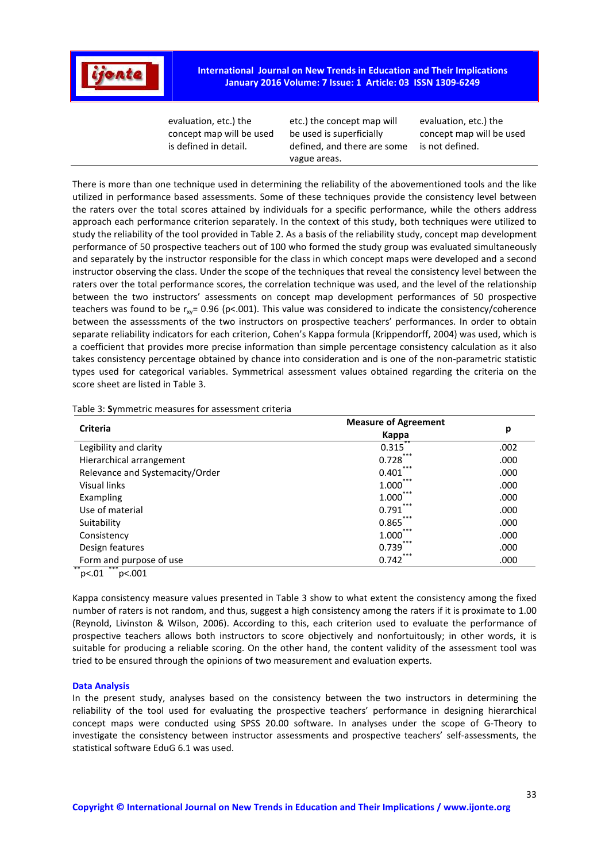

**International Journal on New Trends in Education and Their Implications January 2016 Volume: 7 Issue: 1 Article: 03 ISSN 1309-6249** 

| vague areas. |  | evaluation, etc.) the<br>concept map will be used<br>is defined in detail. | etc.) the concept map will<br>be used is superficially<br>defined, and there are some | evaluation, etc.) the<br>concept map will be used<br>is not defined. |
|--------------|--|----------------------------------------------------------------------------|---------------------------------------------------------------------------------------|----------------------------------------------------------------------|
|--------------|--|----------------------------------------------------------------------------|---------------------------------------------------------------------------------------|----------------------------------------------------------------------|

There is more than one technique used in determining the reliability of the abovementioned tools and the like utilized in performance based assessments. Some of these techniques provide the consistency level between the raters over the total scores attained by individuals for a specific performance, while the others address approach each performance criterion separately. In the context of this study, both techniques were utilized to study the reliability of the tool provided in Table 2. As a basis of the reliability study, concept map development performance of 50 prospective teachers out of 100 who formed the study group was evaluated simultaneously and separately by the instructor responsible for the class in which concept maps were developed and a second instructor observing the class. Under the scope of the techniques that reveal the consistency level between the raters over the total performance scores, the correlation technique was used, and the level of the relationship between the two instructors' assessments on concept map development performances of 50 prospective teachers was found to be  $r_{xy}$ = 0.96 (p<.001). This value was considered to indicate the consistency/coherence between the assesssments of the two instructors on prospective teachers' performances. In order to obtain separate reliability indicators for each criterion, Cohen's Kappa formula (Krippendorff, 2004) was used, which is a coefficient that provides more precise information than simple percentage consistency calculation as it also takes consistency percentage obtained by chance into consideration and is one of the non-parametric statistic types used for categorical variables. Symmetrical assessment values obtained regarding the criteria on the score sheet are listed in Table 3.

| Table 3: Symmetric measures for assessment criteria |
|-----------------------------------------------------|
|-----------------------------------------------------|

| <b>Measure of Agreement</b><br>Kappa | р    |
|--------------------------------------|------|
| 0.315                                | .002 |
| 0.728                                | .000 |
| 0.401                                | .000 |
| $1.000^{\degree}$                    | .000 |
| 1.000                                | .000 |
| 0.791                                | .000 |
| 0.865                                | .000 |
| 1.000                                | .000 |
| 0.739                                | .000 |
| 0.742                                | .000 |
|                                      | ***  |

 $p<.01$   $p<.001$ 

Kappa consistency measure values presented in Table 3 show to what extent the consistency among the fixed number of raters is not random, and thus, suggest a high consistency among the raters if it is proximate to 1.00 (Reynold, Livinston & Wilson, 2006). According to this, each criterion used to evaluate the performance of prospective teachers allows both instructors to score objectively and nonfortuitously; in other words, it is suitable for producing a reliable scoring. On the other hand, the content validity of the assessment tool was tried to be ensured through the opinions of two measurement and evaluation experts.

#### **Data Analysis**

In the present study, analyses based on the consistency between the two instructors in determining the reliability of the tool used for evaluating the prospective teachers' performance in designing hierarchical concept maps were conducted using SPSS 20.00 software. In analyses under the scope of G-Theory to investigate the consistency between instructor assessments and prospective teachers' self-assessments, the statistical software EduG 6.1 was used.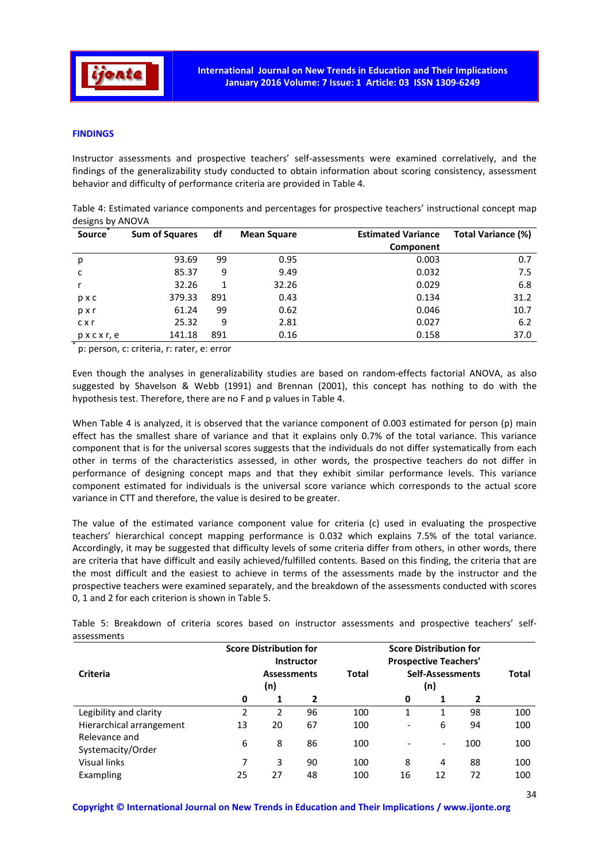

### **FINDINGS**

Instructor assessments and prospective teachers' self-assessments were examined correlatively, and the findings of the generalizability study conducted to obtain information about scoring consistency, assessment behavior and difficulty of performance criteria are provided in Table 4.

| Table 4: Estimated variance components and percentages for prospective teachers' instructional concept map |  |  |  |  |  |
|------------------------------------------------------------------------------------------------------------|--|--|--|--|--|
| designs by ANOVA                                                                                           |  |  |  |  |  |

| <b>Source</b>             | <b>Sum of Squares</b>                  | df  | <b>Mean Square</b> | <b>Estimated Variance</b> | Total Variance (%) |
|---------------------------|----------------------------------------|-----|--------------------|---------------------------|--------------------|
|                           |                                        |     |                    | Component                 |                    |
| p                         | 93.69                                  | 99  | 0.95               | 0.003                     | 0.7                |
| c                         | 85.37                                  | 9   | 9.49               | 0.032                     | 7.5                |
|                           | 32.26                                  | 1   | 32.26              | 0.029                     | 6.8                |
| pxc                       | 379.33                                 | 891 | 0.43               | 0.134                     | 31.2               |
| pxr                       | 61.24                                  | 99  | 0.62               | 0.046                     | 10.7               |
| $c \times r$              | 25.32                                  | 9   | 2.81               | 0.027                     | 6.2                |
| $p \times c \times r$ , e | 141.18                                 | 891 | 0.16               | 0.158                     | 37.0               |
| ≖                         | n' norson s' critoria rupator ou orror |     |                    |                           |                    |

p: person, c: criteria, r: rater, e: error

Even though the analyses in generalizability studies are based on random-effects factorial ANOVA, as also suggested by Shavelson & Webb (1991) and Brennan (2001), this concept has nothing to do with the hypothesis test. Therefore, there are no F and p values in Table 4.

When Table 4 is analyzed, it is observed that the variance component of 0.003 estimated for person (p) main effect has the smallest share of variance and that it explains only 0.7% of the total variance. This variance component that is for the universal scores suggests that the individuals do not differ systematically from each other in terms of the characteristics assessed, in other words, the prospective teachers do not differ in performance of designing concept maps and that they exhibit similar performance levels. This variance component estimated for individuals is the universal score variance which corresponds to the actual score variance in CTT and therefore, the value is desired to be greater.

The value of the estimated variance component value for criteria (c) used in evaluating the prospective teachers' hierarchical concept mapping performance is 0.032 which explains 7.5% of the total variance. Accordingly, it may be suggested that difficulty levels of some criteria differ from others, in other words, there are criteria that have difficult and easily achieved/fulfilled contents. Based on this finding, the criteria that are the most difficult and the easiest to achieve in terms of the assessments made by the instructor and the prospective teachers were examined separately, and the breakdown of the assessments conducted with scores 0, 1 and 2 for each criterion is shown in Table 5.

| ujjtjilitu                         |                           | <b>Score Distribution for</b> | <b>Instructor</b> | <b>Score Distribution for</b><br><b>Prospective Teachers'</b> |                                |    |     |       |
|------------------------------------|---------------------------|-------------------------------|-------------------|---------------------------------------------------------------|--------------------------------|----|-----|-------|
| <b>Criteria</b>                    | <b>Assessments</b><br>(n) |                               |                   | Total                                                         | <b>Self-Assessments</b><br>(n) |    |     | Total |
|                                    | 0                         | 1                             | $\overline{2}$    |                                                               | 0                              | 1  | 2   |       |
| Legibility and clarity             | 2                         | 2                             | 96                | 100                                                           | 1                              | 1  | 98  | 100   |
| Hierarchical arrangement           | 13                        | 20                            | 67                | 100                                                           | $\overline{\phantom{a}}$       | 6  | 94  | 100   |
| Relevance and<br>Systemacity/Order | 6                         | 8                             | 86                | 100                                                           |                                | -  | 100 | 100   |
| Visual links                       |                           | 3                             | 90                | 100                                                           | 8                              | 4  | 88  | 100   |
| Exampling                          | 25                        | 27                            | 48                | 100                                                           | 16                             | 12 | 72  | 100   |

Table 5: Breakdown of criteria scores based on instructor assessments and prospective teachers' selfassessments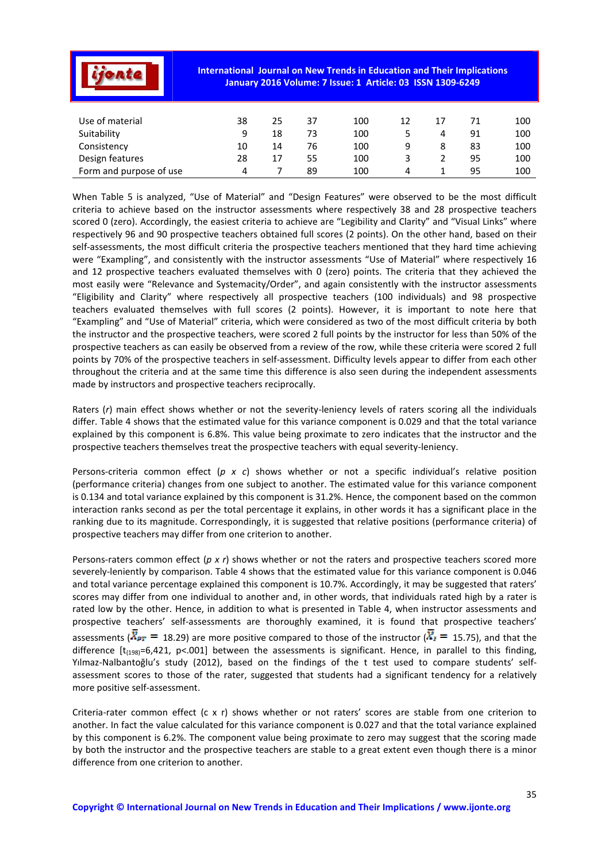|                         | <b>International Journal on New Trends in Education and Their Implications</b><br>January 2016 Volume: 7 Issue: 1 Article: 03 ISSN 1309-6249 |    |    |     |    |    |    |     |  |  |
|-------------------------|----------------------------------------------------------------------------------------------------------------------------------------------|----|----|-----|----|----|----|-----|--|--|
| Use of material         | 38                                                                                                                                           | 25 | 37 | 100 | 12 | 17 | 71 | 100 |  |  |
| Suitability             | 9                                                                                                                                            | 18 | 73 | 100 | 5  | 4  | 91 | 100 |  |  |
| Consistency             | 10                                                                                                                                           | 14 | 76 | 100 | 9  | 8  | 83 | 100 |  |  |
| Design features         | 28                                                                                                                                           | 17 | 55 | 100 | 3  |    | 95 | 100 |  |  |
| Form and purpose of use | 4                                                                                                                                            |    | 89 | 100 | 4  |    | 95 | 100 |  |  |

When Table 5 is analyzed, "Use of Material" and "Design Features" were observed to be the most difficult criteria to achieve based on the instructor assessments where respectively 38 and 28 prospective teachers scored 0 (zero). Accordingly, the easiest criteria to achieve are "Legibility and Clarity" and "Visual Links" where respectively 96 and 90 prospective teachers obtained full scores (2 points). On the other hand, based on their self-assessments, the most difficult criteria the prospective teachers mentioned that they hard time achieving were "Exampling", and consistently with the instructor assessments "Use of Material" where respectively 16 and 12 prospective teachers evaluated themselves with 0 (zero) points. The criteria that they achieved the most easily were "Relevance and Systemacity/Order", and again consistently with the instructor assessments "Eligibility and Clarity" where respectively all prospective teachers (100 individuals) and 98 prospective teachers evaluated themselves with full scores (2 points). However, it is important to note here that "Exampling" and "Use of Material" criteria, which were considered as two of the most difficult criteria by both the instructor and the prospective teachers, were scored 2 full points by the instructor for less than 50% of the prospective teachers as can easily be observed from a review of the row, while these criteria were scored 2 full points by 70% of the prospective teachers in self-assessment. Difficulty levels appear to differ from each other throughout the criteria and at the same time this difference is also seen during the independent assessments made by instructors and prospective teachers reciprocally.

Raters (*r*) main effect shows whether or not the severity-leniency levels of raters scoring all the individuals differ. Table 4 shows that the estimated value for this variance component is 0.029 and that the total variance explained by this component is 6.8%. This value being proximate to zero indicates that the instructor and the prospective teachers themselves treat the prospective teachers with equal severity-leniency.

Persons-criteria common effect (*p x c*) shows whether or not a specific individual's relative position (performance criteria) changes from one subject to another. The estimated value for this variance component is 0.134 and total variance explained by this component is 31.2%. Hence, the component based on the common interaction ranks second as per the total percentage it explains, in other words it has a significant place in the ranking due to its magnitude. Correspondingly, it is suggested that relative positions (performance criteria) of prospective teachers may differ from one criterion to another.

Persons-raters common effect (*p x r*) shows whether or not the raters and prospective teachers scored more severely-leniently by comparison. Table 4 shows that the estimated value for this variance component is 0.046 and total variance percentage explained this component is 10.7%. Accordingly, it may be suggested that raters' scores may differ from one individual to another and, in other words, that individuals rated high by a rater is rated low by the other. Hence, in addition to what is presented in Table 4, when instructor assessments and prospective teachers' self-assessments are thoroughly examined, it is found that prospective teachers' assessments ( $\bar{X}_{PT}$  = 18.29) are more positive compared to those of the instructor ( $\bar{X}_I$  = 15.75), and that the difference  $[t_{(198)}=6,421, p<0.001]$  between the assessments is significant. Hence, in parallel to this finding, Yılmaz-Nalbantoğlu's study (2012), based on the findings of the t test used to compare students' selfassessment scores to those of the rater, suggested that students had a significant tendency for a relatively more positive self-assessment.

Criteria-rater common effect (c x r) shows whether or not raters' scores are stable from one criterion to another. In fact the value calculated for this variance component is 0.027 and that the total variance explained by this component is 6.2%. The component value being proximate to zero may suggest that the scoring made by both the instructor and the prospective teachers are stable to a great extent even though there is a minor difference from one criterion to another.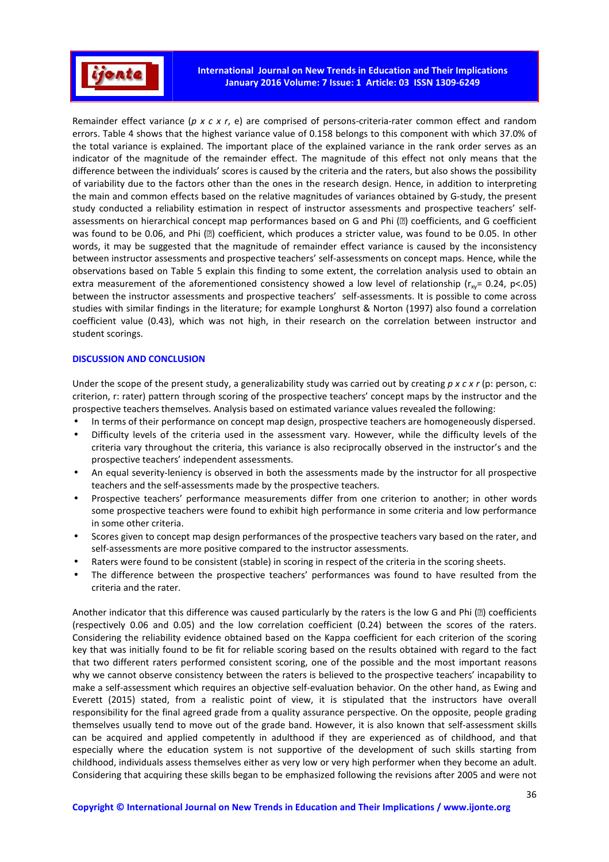

Remainder effect variance (*p x c x r*, e) are comprised of persons-criteria-rater common effect and random errors. Table 4 shows that the highest variance value of 0.158 belongs to this component with which 37.0% of the total variance is explained. The important place of the explained variance in the rank order serves as an indicator of the magnitude of the remainder effect. The magnitude of this effect not only means that the difference between the individuals' scores is caused by the criteria and the raters, but also shows the possibility of variability due to the factors other than the ones in the research design. Hence, in addition to interpreting the main and common effects based on the relative magnitudes of variances obtained by G-study, the present study conducted a reliability estimation in respect of instructor assessments and prospective teachers' selfassessments on hierarchical concept map performances based on G and Phi ( $\Box$ ) coefficients, and G coefficient was found to be 0.06, and Phi ( $\textcircled{\tiny{\textit{B}}}$ ) coefficient, which produces a stricter value, was found to be 0.05. In other words, it may be suggested that the magnitude of remainder effect variance is caused by the inconsistency between instructor assessments and prospective teachers' self-assessments on concept maps. Hence, while the observations based on Table 5 explain this finding to some extent, the correlation analysis used to obtain an extra measurement of the aforementioned consistency showed a low level of relationship ( $r_{\text{av}}$ = 0.24, p<.05) between the instructor assessments and prospective teachers' self-assessments. It is possible to come across studies with similar findings in the literature; for example Longhurst & Norton (1997) also found a correlation coefficient value (0.43), which was not high, in their research on the correlation between instructor and student scorings.

### **DISCUSSION AND CONCLUSION**

Under the scope of the present study, a generalizability study was carried out by creating *p x c x r* (p: person, c: criterion, r: rater) pattern through scoring of the prospective teachers' concept maps by the instructor and the prospective teachers themselves. Analysis based on estimated variance values revealed the following:

- In terms of their performance on concept map design, prospective teachers are homogeneously dispersed.
- Difficulty levels of the criteria used in the assessment vary. However, while the difficulty levels of the criteria vary throughout the criteria, this variance is also reciprocally observed in the instructor's and the prospective teachers' independent assessments.
- An equal severity-leniency is observed in both the assessments made by the instructor for all prospective teachers and the self-assessments made by the prospective teachers.
- Prospective teachers' performance measurements differ from one criterion to another; in other words some prospective teachers were found to exhibit high performance in some criteria and low performance in some other criteria.
- Scores given to concept map design performances of the prospective teachers vary based on the rater, and self-assessments are more positive compared to the instructor assessments.
- Raters were found to be consistent (stable) in scoring in respect of the criteria in the scoring sheets.
- The difference between the prospective teachers' performances was found to have resulted from the criteria and the rater.

Another indicator that this difference was caused particularly by the raters is the low G and Phi (a) coefficients (respectively 0.06 and 0.05) and the low correlation coefficient (0.24) between the scores of the raters. Considering the reliability evidence obtained based on the Kappa coefficient for each criterion of the scoring key that was initially found to be fit for reliable scoring based on the results obtained with regard to the fact that two different raters performed consistent scoring, one of the possible and the most important reasons why we cannot observe consistency between the raters is believed to the prospective teachers' incapability to make a self-assessment which requires an objective self-evaluation behavior. On the other hand, as Ewing and Everett (2015) stated, from a realistic point of view, it is stipulated that the instructors have overall responsibility for the final agreed grade from a quality assurance perspective. On the opposite, people grading themselves usually tend to move out of the grade band. However, it is also known that self-assessment skills can be acquired and applied competently in adulthood if they are experienced as of childhood, and that especially where the education system is not supportive of the development of such skills starting from childhood, individuals assess themselves either as very low or very high performer when they become an adult. Considering that acquiring these skills began to be emphasized following the revisions after 2005 and were not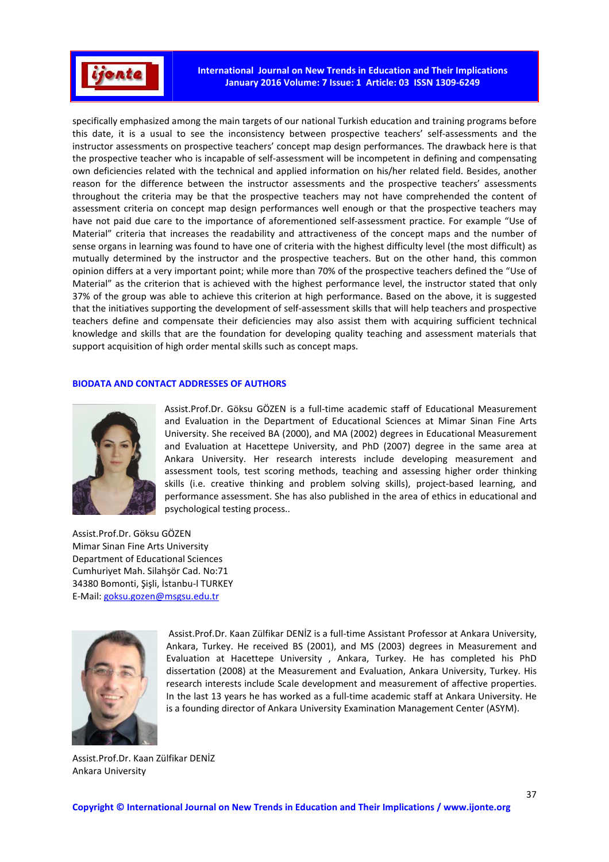

**International Journal on New Trends in Education and Their Implications January 2016 Volume: 7 Issue: 1 Article: 03 ISSN 1309-6249** 

specifically emphasized among the main targets of our national Turkish education and training programs before this date, it is a usual to see the inconsistency between prospective teachers' self-assessments and the instructor assessments on prospective teachers' concept map design performances. The drawback here is that the prospective teacher who is incapable of self-assessment will be incompetent in defining and compensating own deficiencies related with the technical and applied information on his/her related field. Besides, another reason for the difference between the instructor assessments and the prospective teachers' assessments throughout the criteria may be that the prospective teachers may not have comprehended the content of assessment criteria on concept map design performances well enough or that the prospective teachers may have not paid due care to the importance of aforementioned self-assessment practice. For example "Use of Material" criteria that increases the readability and attractiveness of the concept maps and the number of sense organs in learning was found to have one of criteria with the highest difficulty level (the most difficult) as mutually determined by the instructor and the prospective teachers. But on the other hand, this common opinion differs at a very important point; while more than 70% of the prospective teachers defined the "Use of Material" as the criterion that is achieved with the highest performance level, the instructor stated that only 37% of the group was able to achieve this criterion at high performance. Based on the above, it is suggested that the initiatives supporting the development of self-assessment skills that will help teachers and prospective teachers define and compensate their deficiencies may also assist them with acquiring sufficient technical knowledge and skills that are the foundation for developing quality teaching and assessment materials that support acquisition of high order mental skills such as concept maps.

### **BIODATA AND CONTACT ADDRESSES OF AUTHORS**



Assist.Prof.Dr. Göksu GÖZEN is a full-time academic staff of Educational Measurement and Evaluation in the Department of Educational Sciences at Mimar Sinan Fine Arts University. She received BA (2000), and MA (2002) degrees in Educational Measurement and Evaluation at Hacettepe University, and PhD (2007) degree in the same area at Ankara University. Her research interests include developing measurement and assessment tools, test scoring methods, teaching and assessing higher order thinking skills (i.e. creative thinking and problem solving skills), project-based learning, and performance assessment. She has also published in the area of ethics in educational and psychological testing process..

Assist.Prof.Dr. Göksu GÖZEN Mimar Sinan Fine Arts University Department of Educational Sciences Cumhuriyet Mah. Silahşör Cad. No:71 34380 Bomonti, Şişli, İstanbu-l TURKEY E-Mail: goksu.gozen@msgsu.edu.tr



 Assist.Prof.Dr. Kaan Zülfikar DENİZ is a full-time Assistant Professor at Ankara University, Ankara, Turkey. He received BS (2001), and MS (2003) degrees in Measurement and Evaluation at Hacettepe University , Ankara, Turkey. He has completed his PhD dissertation (2008) at the Measurement and Evaluation, Ankara University, Turkey. His research interests include Scale development and measurement of affective properties. In the last 13 years he has worked as a full-time academic staff at Ankara University. He is a founding director of Ankara University Examination Management Center (ASYM).

Assist.Prof.Dr. Kaan Zülfikar DENİZ Ankara University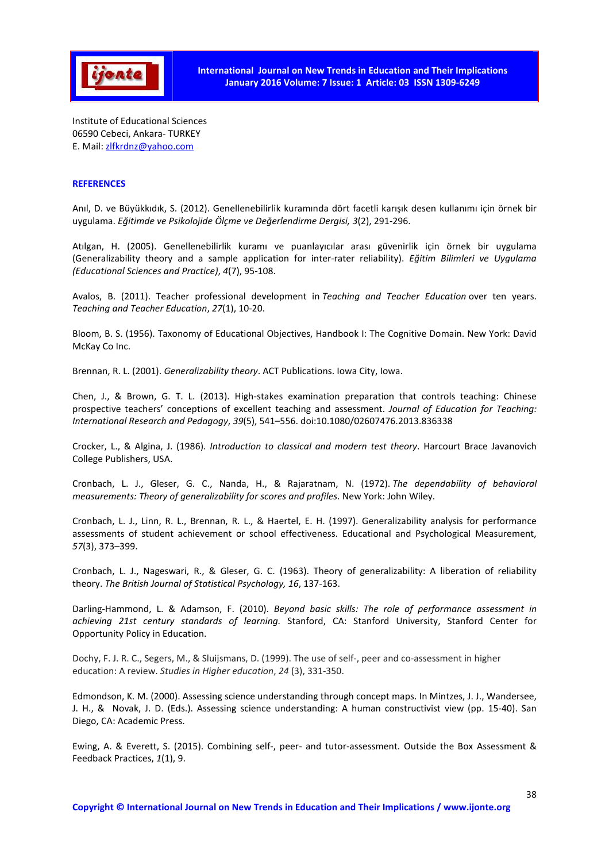

Institute of Educational Sciences 06590 Cebeci, Ankara- TURKEY E. Mail: zlfkrdnz@yahoo.com

## **REFERENCES**

Anıl, D. ve Büyükkıdık, S. (2012). Genellenebilirlik kuramında dört facetli karışık desen kullanımı için örnek bir uygulama. *Eğitimde ve Psikolojide Ölçme ve Değerlendirme Dergisi, 3*(2), 291-296.

Atılgan, H. (2005). Genellenebilirlik kuramı ve puanlayıcılar arası güvenirlik için örnek bir uygulama (Generalizability theory and a sample application for inter-rater reliability). *Eğitim Bilimleri ve Uygulama (Educational Sciences and Practice)*, *4*(7), 95-108.

Avalos, B. (2011). Teacher professional development in *Teaching and Teacher Education* over ten years. *Teaching and Teacher Education*, *27*(1), 10-20.

Bloom, B. S. (1956). Taxonomy of Educational Objectives, Handbook I: The Cognitive Domain. New York: David McKay Co Inc.

Brennan, R. L. (2001). *Generalizability theory*. ACT Publications. Iowa City, Iowa.

Chen, J., & Brown, G. T. L. (2013). High-stakes examination preparation that controls teaching: Chinese prospective teachers' conceptions of excellent teaching and assessment. *Journal of Education for Teaching: International Research and Pedagogy*, *39*(5), 541–556. doi:10.1080/02607476.2013.836338

Crocker, L., & Algina, J. (1986). *Introduction to classical and modern test theory*. Harcourt Brace Javanovich College Publishers, USA.

Cronbach, L. J., Gleser, G. C., Nanda, H., & Rajaratnam, N. (1972). *The dependability of behavioral measurements: Theory of generalizability for scores and profiles*. New York: John Wiley.

Cronbach, L. J., Linn, R. L., Brennan, R. L., & Haertel, E. H. (1997). Generalizability analysis for performance assessments of student achievement or school effectiveness. Educational and Psychological Measurement, *57*(3), 373–399.

Cronbach, L. J., Nageswari, R., & Gleser, G. C. (1963). Theory of generalizability: A liberation of reliability theory. *The British Journal of Statistical Psychology, 16*, 137-163.

Darling-Hammond, L. & Adamson, F. (2010). *Beyond basic skills: The role of performance assessment in achieving 21st century standards of learning.* Stanford, CA: Stanford University, Stanford Center for Opportunity Policy in Education.

Dochy, F. J. R. C., Segers, M., & Sluijsmans, D. (1999). The use of self-, peer and co-assessment in higher education: A review. *Studies in Higher education*, *24* (3), 331-350.

Edmondson, K. M. (2000). Assessing science understanding through concept maps. In Mintzes, J. J., Wandersee, J. H., & Novak, J. D. (Eds.). Assessing science understanding: A human constructivist view (pp. 15-40). San Diego, CA: Academic Press.

Ewing, A. & Everett, S. (2015). Combining self-, peer- and tutor-assessment. Outside the Box Assessment & Feedback Practices, *1*(1), 9.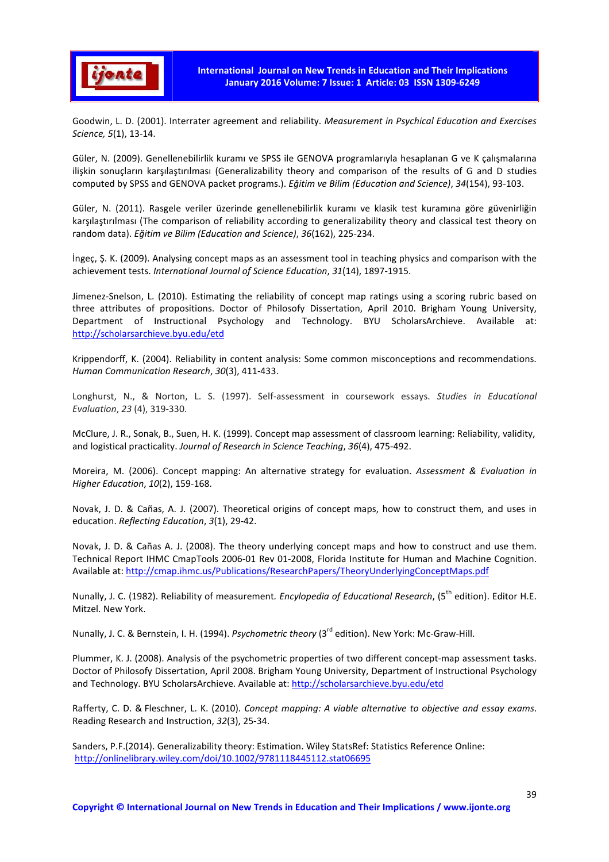

Goodwin, L. D. (2001). Interrater agreement and reliability. *Measurement in Psychical Education and Exercises Science, 5*(1), 13-14.

Güler, N. (2009). Genellenebilirlik kuramı ve SPSS ile GENOVA programlarıyla hesaplanan G ve K çalışmalarına ilişkin sonuçların karşılaştırılması (Generalizability theory and comparison of the results of G and D studies computed by SPSS and GENOVA packet programs.). *Eğitim ve Bilim (Education and Science)*, *34*(154), 93-103.

Güler, N. (2011). Rasgele veriler üzerinde genellenebilirlik kuramı ve klasik test kuramına göre güvenirliğin karşılaştırılması (The comparison of reliability according to generalizability theory and classical test theory on random data). *Eğitim ve Bilim (Education and Science)*, *36*(162), 225-234.

İngeç, Ş. K. (2009). Analysing concept maps as an assessment tool in teaching physics and comparison with the achievement tests. *International Journal of Science Education*, *31*(14), 1897-1915.

Jimenez-Snelson, L. (2010). Estimating the reliability of concept map ratings using a scoring rubric based on three attributes of propositions. Doctor of Philosofy Dissertation, April 2010. Brigham Young University, Department of Instructional Psychology and Technology. BYU ScholarsArchieve. Available at: http://scholarsarchieve.byu.edu/etd

Krippendorff, K. (2004). Reliability in content analysis: Some common misconceptions and recommendations. *Human Communication Research*, *30*(3), 411-433.

Longhurst, N., & Norton, L. S. (1997). Self-assessment in coursework essays. *Studies in Educational Evaluation*, *23* (4), 319-330.

McClure, J. R., Sonak, B., Suen, H. K. (1999). Concept map assessment of classroom learning: Reliability, validity, and logistical practicality. *Journal of Research in Science Teaching*, *36*(4), 475-492.

Moreira, M. (2006). Concept mapping: An alternative strategy for evaluation. *Assessment & Evaluation in Higher Education*, *10*(2), 159-168.

Novak, J. D. & Cañas, A. J. (2007). Theoretical origins of concept maps, how to construct them, and uses in education. *Reflecting Education*, *3*(1), 29-42.

Novak, J. D. & Cañas A. J. (2008). The theory underlying concept maps and how to construct and use them. Technical Report IHMC CmapTools 2006-01 Rev 01-2008, Florida Institute for Human and Machine Cognition. Available at: http://cmap.ihmc.us/Publications/ResearchPapers/TheoryUnderlyingConceptMaps.pdf

Nunally, J. C. (1982). Reliability of measurement. Encylopedia of Educational Research, (5<sup>th</sup> edition). Editor H.E. Mitzel. New York.

Nunally, J. C. & Bernstein, I. H. (1994). *Psychometric theory* (3rd edition). New York: Mc-Graw-Hill.

Plummer, K. J. (2008). Analysis of the psychometric properties of two different concept-map assessment tasks. Doctor of Philosofy Dissertation, April 2008. Brigham Young University, Department of Instructional Psychology and Technology. BYU ScholarsArchieve. Available at: http://scholarsarchieve.byu.edu/etd

Rafferty, C. D. & Fleschner, L. K. (2010). *Concept mapping: A viable alternative to objective and essay exams*. Reading Research and Instruction, *32*(3), 25-34.

Sanders, P.F.(2014). Generalizability theory: Estimation. Wiley StatsRef: Statistics Reference Online: http://onlinelibrary.wiley.com/doi/10.1002/9781118445112.stat06695